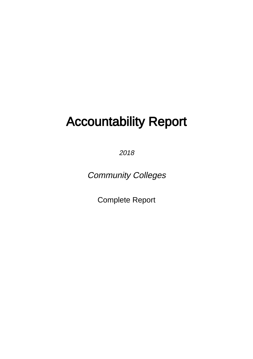# Accountability Report

2018

Community Colleges

Complete Report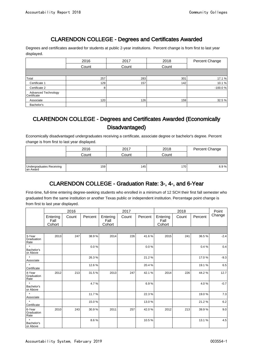# CLARENDON COLLEGE - Degrees and Certificates Awarded

Degrees and certificates awarded for students at public 2-year institutions. Percent change is from first to last year displayed.

|                                    | 2016  | 2017  | 2018  | Percent Change |
|------------------------------------|-------|-------|-------|----------------|
|                                    | Count | Count | Count |                |
|                                    |       |       |       |                |
| Total                              | 257   | 283   | 301   | 17.1 %         |
| Certificate 1                      | 129   | 157   | 142   | 10.1%          |
| Certificate 2                      | 8     |       |       | $-100.0%$      |
| Advanced Technology<br>Certificate |       |       |       |                |
| Associate                          | 120   | 126   | 159   | 32.5 %         |
| Bachelor's                         |       |       |       |                |

#### CLARENDON COLLEGE - Degrees and Certificates Awarded (Economically Disadvantaged)

Economically disadvantaged undergraduates receiving a certificate, associate degree or bachelor's degree. Percent change is from first to last year displayed.

|                                      | 2016  | 2017  | 2018  | Percent Change |
|--------------------------------------|-------|-------|-------|----------------|
|                                      | Count | Count | Count |                |
|                                      |       |       |       |                |
| Undergraduates Receiving<br>an Award | 159   | 145   | 170   | 6.9%           |

# CLARENDON COLLEGE - Graduation Rate: 3-, 4-, and 6-Year

First-time, full-time entering degree-seeking students who enrolled in a minimum of 12 SCH their first fall semester who graduated from the same institution or another Texas public or independent institution. Percentage point change is from first to last year displayed.

|                                   |                            | 2016  |         |                            | 2017  |          |                            | 2018  |         | Point  |
|-----------------------------------|----------------------------|-------|---------|----------------------------|-------|----------|----------------------------|-------|---------|--------|
|                                   | Entering<br>Fall<br>Cohort | Count | Percent | Entering<br>Fall<br>Cohort | Count | Percent  | Entering<br>Fall<br>Cohort | Count | Percent | Change |
|                                   |                            |       |         |                            |       |          |                            |       |         |        |
| 3-Year<br>Graduation<br>Rate      | 2013                       | 247   | 38.9%   | 2014                       | 226   | 41.6%    | 2015                       | 241   | 36.5%   | $-2.4$ |
| $\star$<br>Bachelor's<br>or Above |                            |       | 0.0%    |                            |       | $0.0 \%$ |                            |       | 0.4%    | 0.4    |
| $\star$<br>Associate              |                            |       | 26.3%   |                            |       | 21.2%    |                            |       | 17.0%   | $-9.3$ |
| $\star$<br>Certificate            |                            |       | 12.6%   |                            |       | 20.4%    |                            |       | 19.1%   | 6.5    |
| 4-Year<br>Graduation<br>Rate      | 2012                       | 213   | 31.5%   | 2013                       | 247   | 42.1%    | 2014                       | 226   | 44.2%   | 12.7   |
| $\star$<br>Bachelor's<br>or Above |                            |       | 4.7%    |                            |       | 6.9%     |                            |       | 4.0%    | $-0.7$ |
| $\star$<br>Associate              |                            |       | 11.7%   |                            |       | 22.3%    |                            |       | 19.0%   | 7.3    |
| $\star$<br>Certificate            |                            |       | 15.0%   |                            |       | 13.0%    |                            |       | 21.2%   | 6.2    |
| 6-Year<br>Graduation<br>Rate      | 2010                       | 243   | 30.9%   | 2011                       | 257   | 42.0%    | 2012                       | 213   | 39.9%   | 9.0    |
| $\star$<br>Bachelor's<br>or Above |                            |       | 8.6%    |                            |       | 10.5%    |                            |       | 13.1%   | 4.5    |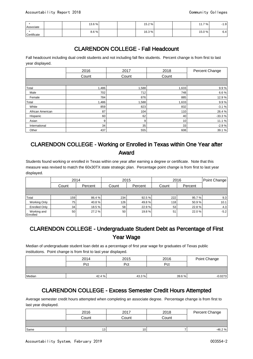| Associate   |  | 13.6% |  | 15.2 % |  | 7 % 1<br>11.7 | 1.9                     |
|-------------|--|-------|--|--------|--|---------------|-------------------------|
| Certificate |  | 8.6%  |  | 16.3%  |  | 15.0%         | $\sim$ $\lambda$<br>b.4 |

# CLARENDON COLLEGE - Fall Headcount

Fall headcount including dual credit students and not including fall flex students. Percent change is from first to last year displayed.

|                  | 2016  | 2017  | 2018  | Percent Change |
|------------------|-------|-------|-------|----------------|
|                  | Count | Count | Count |                |
|                  |       |       |       |                |
| Total            | 1,486 | 1,588 | 1,633 | 9.9%           |
| Male             | 702   | 712   | 748   | 6.6%           |
| Female           | 784   | 876   | 885   | 12.9%          |
| Total            | 1,486 | 1,588 | 1,633 | 9.9%           |
| White            | 859   | 823   | 832   | $-3.1%$        |
| African American | 87    | 104   | 110   | 26.4%          |
| Hispanic         | 60    | 62    | 40    | $-33.3%$       |
| Asian            | 9     | 9     | 10    | 11.1%          |
| International    | 34    | 35    | 33    | $-2.9%$        |
| Other            | 437   | 555   | 608   | 39.1 %         |

#### CLARENDON COLLEGE - Working or Enrolled in Texas within One Year after Award

Students found working or enrolled in Texas within one year after earning a degree or certificate. Note that this measure was revised to match the 60x30TX state strategic plan. Percentage point change is from first to last year displayed.

|                         | 2014             |         | 2015  |         | 2016  | Point Change |        |
|-------------------------|------------------|---------|-------|---------|-------|--------------|--------|
|                         | Count            | Percent | Count | Percent | Count | Percent      |        |
|                         |                  |         |       |         |       |              |        |
| Total                   | 159 <sup>1</sup> | 86.4 %  | 234   | 92.5%   | 222   | 95.7%        | 9.3    |
| Working Only            | 75 l             | 40.8%   | 126   | 49.8%   | 118   | 50.9%        | 10.1   |
| <b>Enrolled Only</b>    | 34 <sup>1</sup>  | 18.5%   | 58    | 22.9%   | 53    | 22.8%        | 4.3    |
| Working and<br>Enrolled | 50               | 27.2 %  | 50    | 19.8%   | 51    | 22.0 %       | $-5.2$ |

#### CLARENDON COLLEGE - Undergraduate Student Debt as Percentage of First Year Wage

Median of undergraduate student loan debt as a percentage of first year wage for graduates of Texas public institutions. Point change is from first to last year displayed.

|        | 2014   | 2015  | 2016  | Point Change |
|--------|--------|-------|-------|--------------|
|        | Pct    | Pct   | Pct   |              |
|        |        |       |       |              |
| Median | 42.4 % | 43.3% | 39.6% | $-0.0273$    |

## CLARENDON COLLEGE - Excess Semester Credit Hours Attempted

Average semester credit hours attempted when completing an associate degree. Percentage change is from first to last year displayed.

|      | 2016            | 2017            | 2018  | Percent Change |
|------|-----------------|-----------------|-------|----------------|
|      | Count           | Count           | Count |                |
|      |                 |                 |       |                |
| Same | 13 <sub>1</sub> | 10 <sub>1</sub> |       | $-46.2%$       |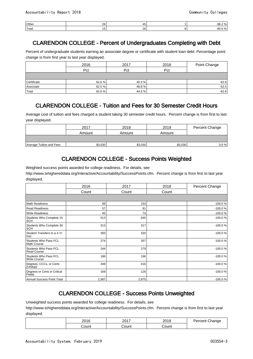| <b>Other</b>       | $\sim$<br>-- | /1 F | $\sim$ $\sim$<br>n<br>$\mathbf{u}$<br>∹ອບ.∠ |
|--------------------|--------------|------|---------------------------------------------|
| Total <sup>'</sup> |              |      | n                                           |

## CLARENDON COLLEGE - Percent of Undergraduates Completing with Debt

Percent of undergraduate students earning an associate degree or certificate with student loan debt. Percentage point change is from first year to last year displayed.

|             | 2016   | 2017   | 2018 | Point Change |
|-------------|--------|--------|------|--------------|
|             | Pct    | Pct    | Pct  |              |
|             |        |        |      |              |
| Certificate | 62.6 % | 40.3 % |      | $-62.6$      |
| Associate   | 62.5%  | 48.8%  |      | $-62.5$      |
| Total       | 62.6%  | 44.5%  |      | $-62.6$      |

#### CLARENDON COLLEGE - Tuition and Fees for 30 Semester Credit Hours

Average cost of tuition and fees charged a student taking 30 semester credit hours. Percent change is from first to last year displayed.

|                          | 2017    | 2018    | 2019    | Percent Change |
|--------------------------|---------|---------|---------|----------------|
|                          | Amount  | Amount  | Amount  |                |
|                          |         |         |         |                |
| Average Tuition and Fees | \$3,030 | \$3,030 | \$3,030 | 0.0 %          |

## CLARENDON COLLEGE - Success Points Weighted

Weighted success points awarded for college readiness. For details, see

http://www.txhighereddata.org/Interactive/Accountability/SuccessPoints.cfm. Percent change is from first to last year displayed.

|                                                     | 2016  | 2017  | 2018  | Percent Change |
|-----------------------------------------------------|-------|-------|-------|----------------|
|                                                     | Count | Count | Count |                |
|                                                     |       |       |       |                |
| <b>Math Readiness</b>                               | 89    | 154   |       | $-100.0%$      |
| <b>Read Readiness</b>                               | 57    | 91    |       | $-100.0%$      |
| <b>Write Readiness</b>                              | 45    | 74    |       | $-100.0%$      |
| Students Who Complete 15<br><b>SCH</b>              | 513   | 645   |       | $-100.0%$      |
| Students Who Complete 30<br><b>SCH</b>              | 313   | 317   |       | $-100.0%$      |
| Student Transfers to a 4-Yr<br>Inst                 | 350   | 320   |       | $-100.0%$      |
| <b>Students Who Pass FCL</b><br><b>Math Course</b>  | 274   | 357   |       | $-100.0%$      |
| <b>Students Who Pass FCL</b><br><b>Read Course</b>  | 244   | 279   |       | $-100.0%$      |
| <b>Students Who Pass FCL</b><br><b>Write Course</b> | 186   | 196   |       | $-100.0%$      |
| Degrees, CCCs, or Certs<br>(Undup)                  | 348   | 416   |       | $-100.0%$      |
| Degrees or Certs in Critical<br>Fields              | 169   | 126   |       | $-100.0%$      |
| Annual Success Point Total                          | 2,587 | 2,975 |       | $-100.0%$      |

# CLARENDON COLLEGE - Success Points Unweighted

Unweighted success points awarded for college readiness. For details, see

http://www.txhighereddata.org/Interactive/Accountability/SuccessPoints.cfm. Percent change is from first to last year displayed.

| ኃስ4 ፎ<br>∼ | 2017<br>∠∪ | 00 <sub>4</sub><br>∼ |  |
|------------|------------|----------------------|--|
| ักเเท      | `ount      | `∩⊔nt                |  |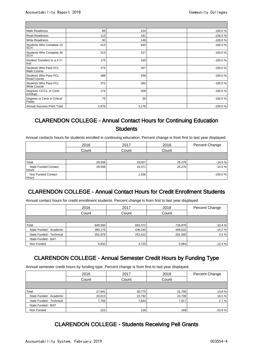$\overline{\phantom{0}}$ 

| Math Readiness                                     | 89    | 154   | $-100.0%$ |
|----------------------------------------------------|-------|-------|-----------|
| Read Readiness                                     | 113   | 181   | $-100.0%$ |
| <b>Write Readiness</b>                             | 90    | 148   | $-100.0%$ |
| Students Who Complete 15<br><b>SCH</b>             | 513   | 645   | $-100.0%$ |
| Students Who Complete 30<br><b>SCH</b>             | 313   | 317   | $-100.0%$ |
| Student Transfers to a 4-Yr<br>Inst                | 175   | 160   | $-100.0%$ |
| Students Who Pass FCL<br><b>Math Course</b>        | 274   | 357   | $-100.0%$ |
| <b>Students Who Pass FCL</b><br><b>Read Course</b> | 488   | 558   | $-100.0%$ |
| Students Who Pass FCL<br><b>Write Course</b>       | 372   | 392   | $-100.0%$ |
| Degrees, CCCs, or Certs<br>(Undup)                 | 174   | 208   | $-100.0%$ |
| Degrees or Certs in Critical<br>Fields             | 75    | 56    | $-100.0%$ |
| Annual Success Point Total                         | 2,676 | 3,176 | $-100.0%$ |

## CLARENDON COLLEGE - Annual Contact Hours for Continuing Education Students

Annual contacts hours for students enrolled in continuing education. Percent change is from first to last year displayed.

|                                      | 2016                    | 2017   | 2018   | Percent Change |
|--------------------------------------|-------------------------|--------|--------|----------------|
|                                      | Count<br>Count<br>Count |        |        |                |
|                                      |                         |        |        |                |
| Total                                | 29,558                  | 18,007 | 25,276 | $-14.5%$       |
| <b>State Funded Contact</b><br>Hours | 29,558                  | 16,471 | 25,276 | $-14.5%$       |
| Non Funded Contact<br>Hours          |                         | 1,536  |        | $-100.0%$      |

# CLARENDON COLLEGE - Annual Contact Hours for Credit Enrollment Students

Annual contact hours for credit enrollment students. Percent change is from first to last year displayed.

|                          | 2016    | 2017    | 2018    | Percent Change |
|--------------------------|---------|---------|---------|----------------|
|                          | Count   | Count   | Count   |                |
|                          |         |         |         |                |
| Total                    | 649,584 | 693,372 | 716,976 | 10.4 %         |
| State Funded - Academic  | 390,176 | 436,240 | 449,632 | 15.2 %         |
| State Funded - Technical | 252,576 | 252.412 | 261,360 | 3.5%           |
| State Funded - BAT       |         |         |         |                |
| Non Funded               | 6,832   | 4,720   | 5,984   | $-12.4%$       |

## CLARENDON COLLEGE - Annual Semester Credit Hours by Funding Type

Annual semester credit hours by funding type. Percent change is from first to last year displayed.

|                          | 2016   | 2017   | 2018   | Percent Change |
|--------------------------|--------|--------|--------|----------------|
|                          | Count  | Count  | Count  |                |
|                          |        |        |        |                |
| Total                    | 27,941 | 30,775 | 31,795 | 13.8%          |
| State Funded - Academic  | 20,013 | 22,792 | 23,709 | 18.5%          |
| State Funded - Technical | 7.706  | 7,844  | 7,917  | 2.7%           |
| State Funded - BAT       |        |        |        |                |
| Non Funded               | 222    | 139    | 169    | $-23.9%$       |

#### CLARENDON COLLEGE - Students Receiving Pell Grants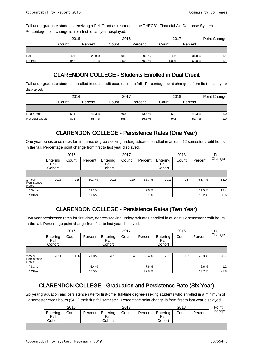Fall undergraduate students receiving a Pell Grant as reported in the THECB's Financial Aid Database System. Percentage point change is from first to last year displayed.

|          | 2015  |         |         | 2016    | 2017  | Point Change |        |
|----------|-------|---------|---------|---------|-------|--------------|--------|
|          | Count | Percent | Count   | Percent | Count | Percent      |        |
|          |       |         |         |         |       |              |        |
| $ $ Pell | 401   | 29.9 %  | 434     | 29.2 %  | 492   | 31.0%        | 1.1    |
| No Pell  | 942   | 70.1%   | ا 052.، | 70.8%   | 1,096 | 69.0 %       | $-1.1$ |

# CLARENDON COLLEGE - Students Enrolled in Dual Credit

Fall undergraduate students enrolled in dual credit courses in the fall. Percentage point change is from first to last year displayed.

|                 | 2016  |         | 2017  |         | 2018  | Point Change |                  |
|-----------------|-------|---------|-------|---------|-------|--------------|------------------|
|                 | Count | Percent | Count | Percent | Count | Percent      |                  |
|                 |       |         |       |         |       |              |                  |
| Dual Credit     | 614   | 41.3%   | 690   | 43.5 %  | 691   | 42.3 %       | 1.0 <sub>l</sub> |
| Not Dual Credit | 872   | 58.7%   | 898   | 56.5 %  | 942   | 57.7%        | $-1.0$           |

# CLARENDON COLLEGE - Persistence Rates (One Year)

One year persistence rates for first-time, degree-seeking undergraduates enrolled in at least 12 semester credit hours in the fall. Percentage point change from first to last year displayed.

|                                | 2016                       |       |         |                            | 2017  |         |                            | 2018  |         |        |
|--------------------------------|----------------------------|-------|---------|----------------------------|-------|---------|----------------------------|-------|---------|--------|
|                                | Entering<br>Fall<br>Cohort | Count | Percent | Entering<br>Fall<br>Cohort | Count | Percent | Entering<br>Fall<br>Cohort | Count | Percent | Change |
|                                |                            |       |         |                            |       |         |                            |       |         |        |
| 1-Year<br>Persistence<br>Rates | 2015                       | 215   | 50.7%   | 2016                       | 210   | 55.7%   | 2017                       | 237   | 63.7%   | 13.0   |
| * Same                         |                            |       | 39.1%   |                            |       | 47.6%   |                            |       | 51.5 %  | 12.4   |
| * Other                        |                            |       | 11.6%   |                            |       | 8.1%    |                            |       | 12.2%   | 0.6    |

# CLARENDON COLLEGE - Persistence Rates (Two Year)

Two year persistence rates for first-time, degree-seeking undergraduates enrolled in at least 12 semester credit hours in the fall. Percentage point change from first to last year displayed.

|                                | 2016                       |       |         |                            | 2017  |         | 2018                       |       |         | Point  |
|--------------------------------|----------------------------|-------|---------|----------------------------|-------|---------|----------------------------|-------|---------|--------|
|                                | Entering<br>Fall<br>Cohort | Count | Percent | Entering<br>Fall<br>Cohort | Count | Percent | Entering<br>Fall<br>Cohort | Count | Percent | Change |
|                                |                            |       |         |                            |       |         |                            |       |         |        |
| 2-Year<br>Persistence<br>Rates | 2014                       | 166   | 41.0 %  | 2015                       | 184   | 30.4%   | 2016                       | 181   | 40.3%   | $-0.7$ |
| * Same                         |                            |       | 5.4 %   |                            |       | 7.6%    |                            |       | 6.6%    | 1.21   |
| * Other                        |                            |       | 35.5 %  |                            |       | 22.8%   |                            |       | 33.7%   | $-1.8$ |

# CLARENDON COLLEGE - Graduation and Persistence Rate (Six Year)

Six year graduation and persistence rate for first-time, full-time degree-seeking students who enrolled in a minimum of 12 semester credit hours (SCH) their first fall semester. Percentage point change is from first to last year displayed.

| 2016           |       |         | 2017           |       |         | 2018           |       |         | Point  |
|----------------|-------|---------|----------------|-------|---------|----------------|-------|---------|--------|
| Entering       | Count | Percent | Entering       | Count | Percent | Entering       | Count | Percent | Change |
| Fall<br>Cohort |       |         | Fall<br>Cohort |       |         | Fall<br>Cohort |       |         |        |
|                |       |         |                |       |         |                |       |         |        |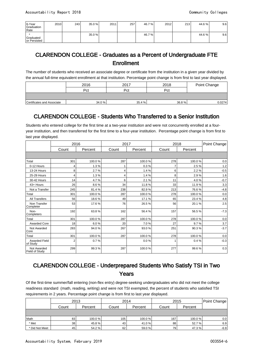| $6-Year$<br>Graduation<br>Rate | 2010 | 243 | 35.0 % | 2011 | 257 | 46.7% | 2012 | 213 | 44.6% | 9.6 |
|--------------------------------|------|-----|--------|------|-----|-------|------|-----|-------|-----|
| Graduated<br>or Persisted      |      |     | 35.0 % |      |     | 46.7% |      |     | 44.6% | 9.6 |

#### CLARENDON COLLEGE - Graduates as a Percent of Undergraduate FTE Enrollment

The number of students who received an associate degree or certificate from the institution in a given year divided by the annual full-time equivalent enrollment at that institution. Percentage point change is from first to last year displayed.

|                            | 2016  | 2017   | 2018  | Point Change |
|----------------------------|-------|--------|-------|--------------|
|                            | Pct   | Pct    | Pct   |              |
|                            |       |        |       |              |
| Certificates and Associate | 34.0% | 35.4 % | 36.8% | 0.0274       |

## CLARENDON COLLEGE - Students Who Transferred to a Senior Institution

Students who entered college for the first time at a two-year institution and were not concurrently enrolled at a fouryear institution, and then transferred for the first time to a four-year institution. Percentage point change is from first to last year displayed.

|                                  | 2016           |         | 2017  |         | 2018  |         | Point Change |
|----------------------------------|----------------|---------|-------|---------|-------|---------|--------------|
|                                  | Count          | Percent | Count | Percent | Count | Percent |              |
|                                  |                |         |       |         |       |         |              |
| Total                            | 301            | 100.0%  | 287   | 100.0%  | 278   | 100.0%  | 0.0          |
| 0-12 Hours                       | 4              | 1.3%    |       | 0.3%    | 7     | 2.5%    | $1.2$        |
| <b>13-24 Hours</b>               | 8              | 2.7%    | 4     | 1.4%    | 6     | 2.2%    | $-0.5$       |
| 25-29 Hours                      | 4              | 1.3%    | 4     | 1.4%    | 8     | 2.9%    | 1.6          |
| 30-42 Hours                      | 14             | 4.7%    | 6     | 2.1%    | 11    | 4.0%    | $-0.7$       |
| 43+ Hours                        | 26             | 8.6%    | 34    | 11.8%   | 33    | 11.9%   | 3.3          |
| Not a Transfer                   | 245            | 81.4%   | 238   | 82.9%   | 213   | 76.6%   | $-4.8$       |
| Total                            | 301            | 100.0%  | 287   | 100.0%  | 278   | 100.0%  | 0.0          |
| <b>All Transfers</b>             | 56             | 18.6%   | 49    | 17.1 %  | 65    | 23.4%   | 4.8          |
| Non Transfer<br>Completer        | 53             | 17.6%   | 76    | 26.5%   | 56    | 20.1%   | 2.5          |
| Non-<br>Completers               | 192            | 63.8%   | 162   | 56.4%   | 157   | 56.5%   | $-7.3$       |
| Total                            | 301            | 100.0%  | 287   | 100.0%  | 278   | 100.0%  | 0.0          |
| <b>Awarded Core</b>              | 18             | 6.0%    | 20    | 7.0%    | 27    | 9.7%    | 3.7          |
| Not Awarded<br>Core              | 283            | 94.0%   | 267   | 93.0%   | 251   | 90.3%   | $-3.7$       |
| Total                            | 301            | 100.0%  | 287   | 100.0%  | 278   | 100.0%  | 0.0          |
| <b>Awarded Field</b><br>of Study | $\overline{2}$ | 0.7%    |       | 0.0%    |       | 0.4%    | $-0.3$       |
| Not Awarded<br>Field of Study    | 299            | 99.3%   | 287   | 100.0%  | 277   | 99.6%   | 0.3          |

#### CLARENDON COLLEGE - Underprepared Students Who Satisfy TSI in Two Years

Of the first-time summer/fall entering (non-flex entry) degree-seeking undergraduates who did not meet the college readiness standard (math, reading, writing) and were not TSI exempted, the percent of students who satisfied TSI requirements in 2 years. Percentage point change is from first to last year displayed.

|                | 2013            |         | 2014  |         | 2015  |         | Point Change |
|----------------|-----------------|---------|-------|---------|-------|---------|--------------|
|                | Count           | Percent | Count | Percent | Count | Percent |              |
|                |                 |         |       |         |       |         |              |
| Math           | 83              | 100.0%  | 105   | 100.0%  | 167   | 100.0 % | 0.0          |
| * Met          | 38 <sup>1</sup> | 45.8%   | 43    | 41.0 %  | 88    | 52.7 %  | 6.9          |
| * Did Not Meet | 45              | 54.2 %  | 62    | 59.0 %  | 79    | 47.3 %  | $-6.9$       |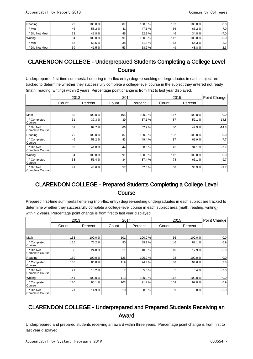| Reading        | 79              | 100.0 % | 87 | 100.0% | 132 | 100.0%  | 0.0     |
|----------------|-----------------|---------|----|--------|-----|---------|---------|
| * Met          | 46              | 58.2%   | 41 | 47.1 % | 86  | 65.2 %  | 7.0 I   |
| * Did Not Meet | 33 <sup>1</sup> | 41.8%   | 46 | 52.9 % | 46  | 34.8 %  | $-7.01$ |
| Writing        | 94 <sub>1</sub> | 100.0 % | 91 | 100.0% | 112 | 100.0 % | 0.0     |
| * Met          | 55              | 58.5 %  | 38 | 41.8 % | 63  | 56.3%   | $-2.2$  |
| * Did Not Meet | 39 <sup>1</sup> | 41.5%   | 53 | 58.2 % | 49  | 43.8%   | 2.3     |

### CLARENDON COLLEGE - Underprepared Students Completing a College Level **Course**

Underprepared first-time summer/fall entering (non-flex entry) degree-seeking undergraduates in each subject are tracked to determine whether they successfully complete a college-level course in the subject they entered not ready (math, reading, writing) within 2 years. Percentage point change is from first to last year displayed.

|                                     | 2013  |         | 2014  |         |       | 2015    | Point Change |
|-------------------------------------|-------|---------|-------|---------|-------|---------|--------------|
|                                     | Count | Percent | Count | Percent | Count | Percent |              |
|                                     |       |         |       |         |       |         |              |
| Math                                | 83    | 100.0%  | 105   | 100.0%  | 167   | 100.0%  | 0.0          |
| * Completed<br>Course               | 31    | 37.3%   | 39    | 37.1 %  | 87    | 52.1%   | 14.8         |
| * Did Not<br><b>Complete Course</b> | 52    | 62.7%   | 66    | 62.9%   | 80    | 47.9%   | $-14.8$      |
| Reading                             | 79    | 100.0%  | 87    | 100.0%  | 132   | 100.0%  | 0.0          |
| * Completed<br>Course               | 46    | 58.2%   | 43    | 49.4%   | 87    | 65.9%   | 7.7          |
| * Did Not<br><b>Complete Course</b> | 33    | 41.8%   | 44    | 50.6%   | 45    | 34.1 %  | $-7.7$       |
| Writing                             | 94    | 100.0%  | 91    | 100.0%  | 112   | 100.0%  | 0.0          |
| * Completed<br>Course               | 53    | 56.4%   | 34    | 37.4 %  | 74    | 66.1%   | 9.7          |
| * Did Not<br><b>Complete Course</b> | 41    | 43.6%   | 57    | 62.6%   | 38    | 33.9%   | $-9.7$       |

#### CLARENDON COLLEGE - Prepared Students Completing a College Level **Course**

Prepared first-time summer/fall entering (non-flex entry) degree-seeking undergraduates in each subject are tracked to determine whether they successfully complete a college-level course in each subject area (math, reading, writing) within 2 years. Percentage point change is from first to last year displayed.

|                                     |       | 2013    |       | 2014    |       | 2015    | Point Change |
|-------------------------------------|-------|---------|-------|---------|-------|---------|--------------|
|                                     | Count | Percent | Count | Percent | Count | Percent |              |
|                                     |       |         |       |         |       |         |              |
| Math                                | 153   | 100.0%  | 101   | 100.0%  | 56    | 100.0%  | 0.0          |
| * Completed<br>Course               | 115   | 75.2%   | 90    | 89.1 %  | 46    | 82.1%   | 6.9          |
| * Did Not<br><b>Complete Course</b> | 38    | 24.8%   | 11    | 10.9%   | 10    | 17.9%   | $-6.9$       |
| Reading                             | 159   | 100.0%  | 126   | 100.0%  | 93    | 100.0%  | 0.0          |
| * Completed<br>Course               | 138   | 86.8%   | 119   | 94.4%   | 88    | 94.6%   | 7.8          |
| * Did Not<br><b>Complete Course</b> | 21    | 13.2%   | 7     | 5.6%    | 5     | 5.4%    | $-7.8$       |
| Writing                             | 141   | 100.0%  | 113   | 100.0%  | 112   | 100.0%  | 0.0          |
| * Completed<br>Course               | 120   | 85.1%   | 103   | 91.2%   | 103   | 92.0%   | 6.9          |
| * Did Not<br><b>Complete Course</b> | 21    | 14.9%   | 10    | 8.8%    | 9     | 8.0%    | $-6.9$       |

#### CLARENDON COLLEGE - Underprepared and Prepared Students Receiving an Award

Underprepared and prepared students receiving an award within three years. Percentage point change is from first to last year displayed.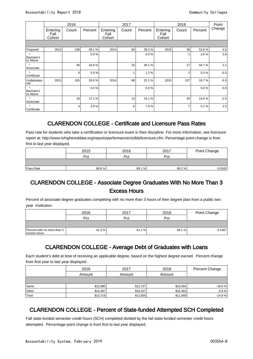|                                   |                            | 2016  |         |                            | 2017  |         |                            | 2018           |         | Point  |
|-----------------------------------|----------------------------|-------|---------|----------------------------|-------|---------|----------------------------|----------------|---------|--------|
|                                   | Entering<br>Fall<br>Cohort | Count | Percent | Entering<br>Fall<br>Cohort | Count | Percent | Entering<br>Fall<br>Cohort | Count          | Percent | Change |
|                                   |                            |       |         |                            |       |         |                            |                |         |        |
| Prepared                          | 2013                       | 108   | 48.1%   | 2014                       | 84    | 39.3%   | 2015                       | 38             | 52.6%   | 4.5    |
| $\star$<br>Bachelor's<br>or Above |                            |       | 0.0%    |                            |       | 0.0%    |                            |                | 2.6%    | 2.6    |
| $\star$<br>Associate              |                            | 46    | 42.6%   |                            | 32    | 38.1%   |                            | 17             | 44.7%   | 2.1    |
| $\star$<br>Certificate            |                            | 6     | 5.6%    |                            | 1     | 1.2%    |                            | $\overline{2}$ | 5.3%    | $-0.3$ |
| Underprepa<br>red                 | 2013                       | 105   | 20.0%   | 2014                       | 86    | 22.1%   | 2015                       | 137            | 19.7%   | $-0.3$ |
| Bachelor's<br>or Above            |                            |       | 0.0%    |                            |       | 0.0%    |                            |                | 0.0%    | 0.0    |
| Associate                         |                            | 18    | 17.1%   |                            | 13    | 15.1%   |                            | 20             | 14.6%   | $-2.5$ |
| $\star$<br>Certificate            |                            | 3     | 2.9%    |                            | 6     | 7.0%    |                            | $\overline{7}$ | 5.1%    | 2.2    |

# CLARENDON COLLEGE - Certificate and Licensure Pass Rates

Pass rate for students who take a certification or licensure exam in their discipline. For more information, see licensure report at: http://www.txhighereddata.org/reports/performance/ctclbb/licensure.cfm. Percentage point change is from first to last year displayed.

|           | 2015  | 2016  | 2017  | Point Change |
|-----------|-------|-------|-------|--------------|
|           | Pct   | Pct   | Pct   |              |
|           |       |       |       |              |
| Pass Rate | 88.6% | 89.1% | 90.2% | 0.0165       |

#### CLARENDON COLLEGE - Associate Degree Graduates With No More Than 3 Excess Hours

Percent of associate degree graduates completing with no more than 3 hours of their degree plan from a public twoyear institution.

|                                             | 2016  | 2017  | 2018   | Point Change |
|---------------------------------------------|-------|-------|--------|--------------|
|                                             | Pct   | Pct   | Pct    |              |
|                                             |       |       |        |              |
| Percent with no more than 3<br>excess hours | 41.3% | 41.1% | 56.1 % | 0.1487       |

# CLARENDON COLLEGE - Average Debt of Graduates with Loans

Each student's debt at time of receiving an applicable degree, based on the highest degree earned. Percent change from first year to last year displayed.

|       | 2016     | 2017     | 2018     | Percent Change |
|-------|----------|----------|----------|----------------|
|       | Amount   | Amount   | Amount   |                |
|       |          |          |          |                |
| Same  | \$12,980 | \$11,727 | \$10,564 | $-18.6%$       |
| Other | \$15,497 | \$16,237 | \$15,363 | $-0.9%$        |
| Total | \$13,716 | \$12,805 | \$11,669 | $-14.9%$       |

# CLARENDON COLLEGE - Percent of State-funded Attempted SCH Completed

Fall state-funded semester credit hours (SCH) completed divided by the fall state-funded semester credit hours attempted. Percentage point change is from first to last year displayed.